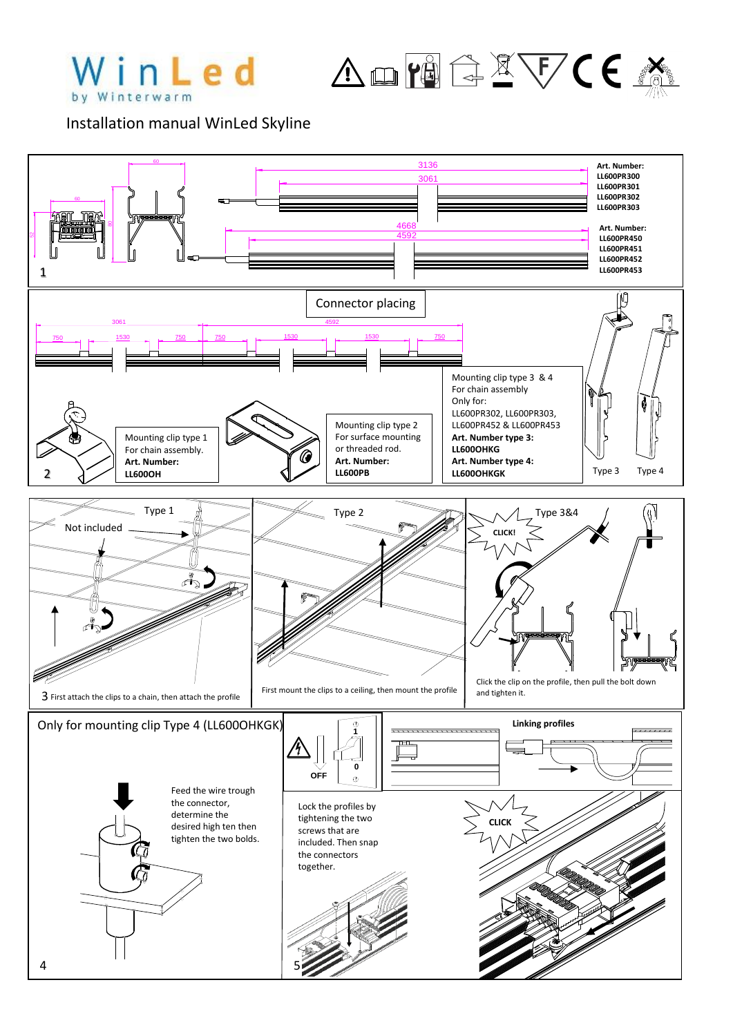

ADPECXVCE

Installation manual WinLed Skyline